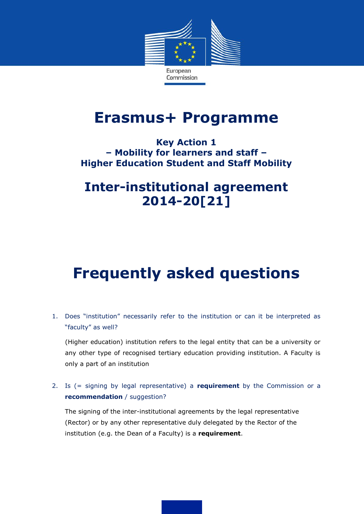

## **Erasmus+ Programme**

### **Key Action 1 – Mobility for learners and staff – Higher Education Student and Staff Mobility**

## **Inter-institutional agreement 2014-20[21]**

# **Frequently asked questions**

1. Does "institution" necessarily refer to the institution or can it be interpreted as "faculty" as well?

(Higher education) institution refers to the legal entity that can be a university or any other type of recognised tertiary education providing institution. A Faculty is only a part of an institution

2. Is (= signing by legal representative) a **requirement** by the Commission or a **recommendation** / suggestion?

The signing of the inter-institutional agreements by the legal representative (Rector) or by any other representative duly delegated by the Rector of the institution (e.g. the Dean of a Faculty) is a **requirement**.